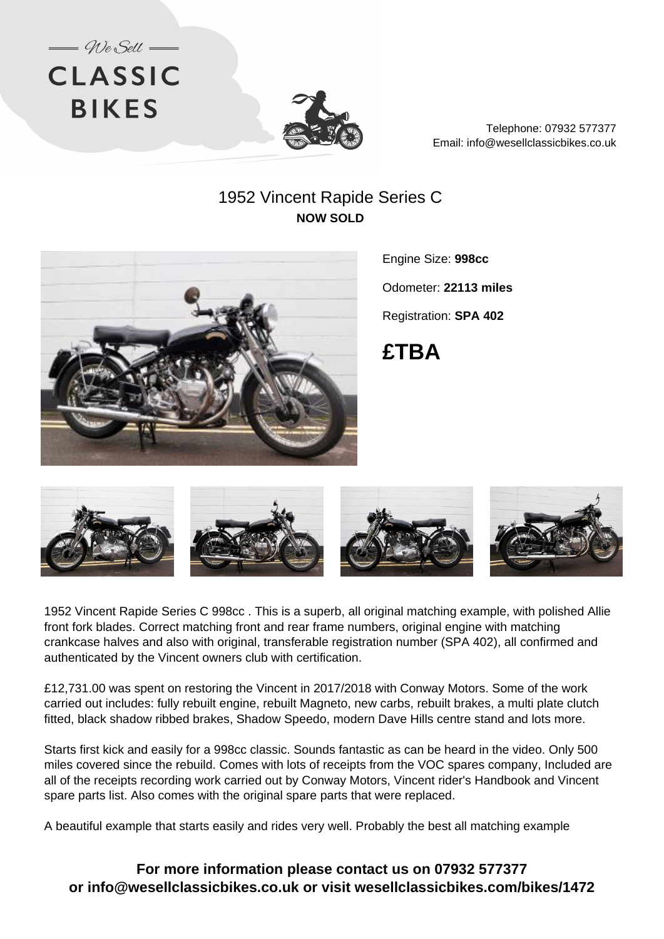



Telephone: 07932 577377 Email: info@wesellclassicbikes.co.uk

## 1952 Vincent Rapide Series C **NOW SOLD**



Engine Size: **998cc**

Odometer: **22113 miles**

Registration: **SPA 402**





1952 Vincent Rapide Series C 998cc . This is a superb, all original matching example, with polished Allie front fork blades. Correct matching front and rear frame numbers, original engine with matching crankcase halves and also with original, transferable registration number (SPA 402), all confirmed and authenticated by the Vincent owners club with certification.

£12,731.00 was spent on restoring the Vincent in 2017/2018 with Conway Motors. Some of the work carried out includes: fully rebuilt engine, rebuilt Magneto, new carbs, rebuilt brakes, a multi plate clutch fitted, black shadow ribbed brakes, Shadow Speedo, modern Dave Hills centre stand and lots more.

Starts first kick and easily for a 998cc classic. Sounds fantastic as can be heard in the video. Only 500 miles covered since the rebuild. Comes with lots of receipts from the VOC spares company, Included are all of the receipts recording work carried out by Conway Motors, Vincent rider's Handbook and Vincent spare parts list. Also comes with the original spare parts that were replaced.

A beautiful example that starts easily and rides very well. Probably the best all matching example

**For more information please contact us on 07932 577377 or info@wesellclassicbikes.co.uk or visit wesellclassicbikes.com/bikes/1472**